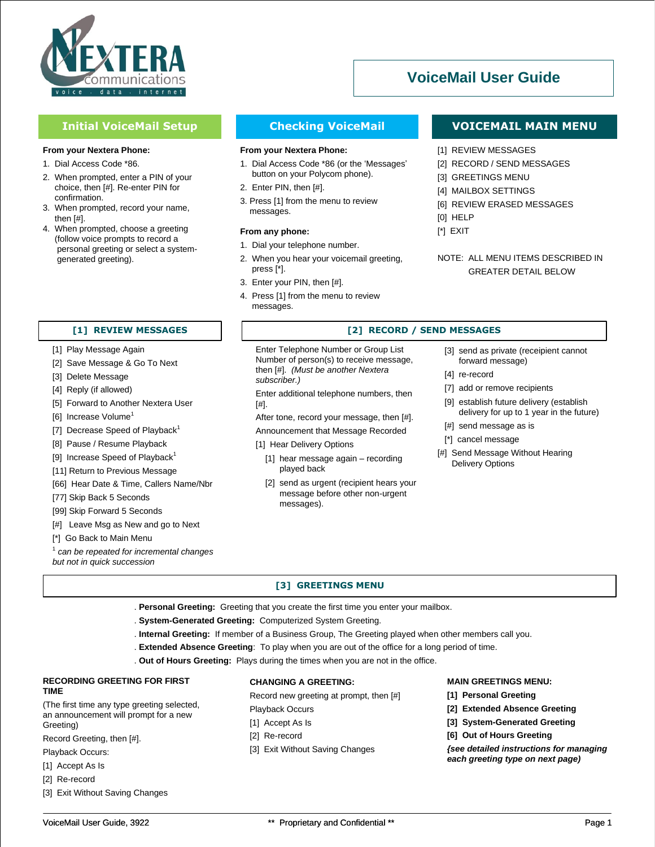

## **Initial VoiceMail Setup**

#### **From your Nextera Phone:**

- 1. Dial Access Code \*86.
- 2. When prompted, enter a PIN of your choice, then [#]. Re-enter PIN for confirmation.
- 3. When prompted, record your name, then [#].
- 4. When prompted, choose a greeting (follow voice prompts to record a personal greeting or select a system generated greeting).

#### **[1] REVIEW MESSAGES**

- [1] Play Message Again
- [2] Save Message & Go To Next
- [3] Delete Message
- [4] Reply (if allowed)
- [5] Forward to Another Nextera User
- [6] Increase Volume<sup>1</sup>
- [7] Decrease Speed of Playback<sup>1</sup>
- [8] Pause / Resume Playback
- [9] Increase Speed of Playback<sup>1</sup>
- [11] Return to Previous Message
- [66] Hear Date & Time, Callers Name/Nbr
- [77] Skip Back 5 Seconds
- [99] Skip Forward 5 Seconds
- [#] Leave Msg as New and go to Next
- [\*] Go Back to Main Menu

1 *can be repeated for incremental changes but not in quick succession*

## **Checking VoiceMail**

#### **From your Nextera Phone:**

- 1. Dial Access Code \*86 (or the 'Messages' button on your Polycom phone).
- 2. Enter PIN, then [#].
- 3. Press [1] from the menu to review messages.

#### **From any phone:**

- 1. Dial your telephone number.
- 2. When you hear your voicemail greeting, press [\*].
- 3. Enter your PIN, then [#].
- 4. Press [1] from the menu to review messages.

## **VoiceMail User Guide**

## **VOICEMAIL MAIN MENU**

- [1] REVIEW MESSAGES
- [2] RECORD / SEND MESSAGES
- [3] GREETINGS MENU
- [4] MAILBOX SETTINGS
- [6] REVIEW ERASED MESSAGES
- [0] HELP
- [\*] EXIT

NOTE: ALL MENU ITEMS DESCRIBED IN GREATER DETAIL BELOW

#### **[2] RECORD / SEND MESSAGES**

Enter Telephone Number or Group List Number of person(s) to receive message, then [#]. *(Must be another Nextera subscriber.)*

Enter additional telephone numbers, then [#].

- After tone, record your message, then [#].
- Announcement that Message Recorded
- [1] Hear Delivery Options
	- [1] hear message again recording played back
	- [2] send as urgent (recipient hears your message before other non-urgent messages).
- [3] send as private (receipient cannot forward message)
- [4] re-record
- [7] add or remove recipients
- [9] establish future delivery (establish delivery for up to 1 year in the future)
- [#] send message as is
- [\*] cancel message
- [#] Send Message Without Hearing Delivery Options

#### **[3] GREETINGS MENU**

- . **Personal Greeting:** Greeting that you create the first time you enter your mailbox.
- . **System-Generated Greeting:** Computerized System Greeting.
- . **Internal Greeting:** If member of a Business Group, The Greeting played when other members call you.
- . **Extended Absence Greeting**: To play when you are out of the office for a long period of time.
- . **Out of Hours Greeting:** Plays during the times when you are not in the office.

#### **RECORDING GREETING FOR FIRST TIME**

(The first time any type greeting selected, an announcement will prompt for a new Greeting)

Record Greeting, then [#].

- Playback Occurs:
- [1] Accept As Is
- [2] Re-record
- [3] Exit Without Saving Changes

## **CHANGING A GREETING:** Record new greeting at prompt, then [#]

Playback Occurs

- [1] Accept As Is
- [2] Re-record
- [3] Exit Without Saving Changes

## **MAIN GREETINGS MENU:**

- **[1] Personal Greeting**
- **[2] Extended Absence Greeting**
- **[3] System-Generated Greeting**
- **[6] Out of Hours Greeting**

*{see detailed instructions for managing each greeting type on next page)*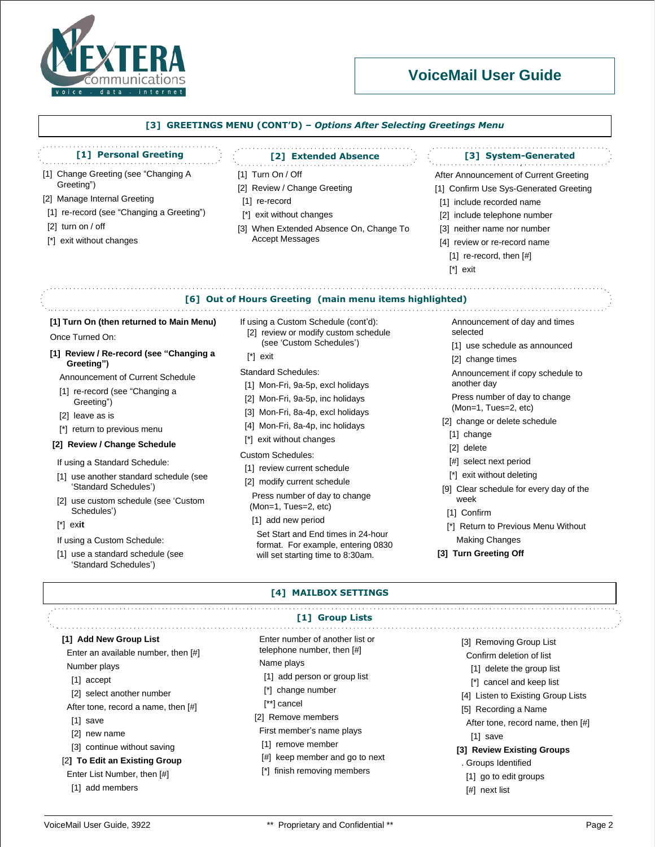

# **VoiceMail User Guide**

| [3] GREETINGS MENU (CONT'D) - Options After Selecting Greetings Menu                                                                                                               |                                                                                                                                                                     |                                                                                                                                                                                                                                                                                 |  |
|------------------------------------------------------------------------------------------------------------------------------------------------------------------------------------|---------------------------------------------------------------------------------------------------------------------------------------------------------------------|---------------------------------------------------------------------------------------------------------------------------------------------------------------------------------------------------------------------------------------------------------------------------------|--|
| [1] Personal Greeting                                                                                                                                                              | [2] Extended Absence                                                                                                                                                | [3] System-Gene                                                                                                                                                                                                                                                                 |  |
| [1] Change Greeting (see "Changing A<br>Greeting")<br>[2] Manage Internal Greeting<br>[1] re-record (see "Changing a Greeting")<br>[2] turn on $/$ off<br>[*] exit without changes | [1] Turn On / Off<br>[2] Review / Change Greeting<br>[1] re-record<br>[*] exit without changes<br>[3] When Extended Absence On, Change To<br><b>Accept Messages</b> | After Announcement of Current Greeting<br>[1] Confirm Use Sys-Generated Greeting<br>[1] include recorded name<br>[2] include telephone number<br>[3] neither name nor number<br>[4] review or re-record name<br>$[1]$ re-record, then $[#]$<br>$\mathsf{r}$ exit                |  |
|                                                                                                                                                                                    | [6] Out of Hours Greeting (main menu items highlighted)                                                                                                             |                                                                                                                                                                                                                                                                                 |  |
| [1] Turn On (then returned to Main Menu)<br>Once Turned On:                                                                                                                        | If using a Custom Schedule (cont'd):<br>[2] review or modify custom schedule                                                                                        | Announcement of day and times<br>selected                                                                                                                                                                                                                                       |  |
| [1] Review / Re-record (see "Changing a<br>Greeting")                                                                                                                              | (see 'Custom Schedules')<br>$\mathsf{I}^*$ exit                                                                                                                     | [1] use schedule as announced<br>[2] change times                                                                                                                                                                                                                               |  |
| Announcement of Current Schedule<br>[1] re-record (see "Changing a<br>Greeting")<br>[2] leave as is                                                                                | <b>Standard Schedules:</b><br>[1] Mon-Fri, 9a-5p, excl holidays<br>[2] Mon-Fri, 9a-5p, inc holidays<br>[3] Mon-Fri, 8a-4p, excl holidays                            | Announcement if copy schedule to<br>another day<br>Press number of day to change<br>(Mon=1, Tues=2, etc)<br>[2] change or delete schedule<br>[1] change<br>[2] delete<br>[#] select next period<br>[*] exit without deleting<br>[9] Clear schedule for every day of the<br>week |  |
| [*] return to previous menu<br>[2] Review / Change Schedule                                                                                                                        | [4] Mon-Fri, 8a-4p, inc holidays<br>[*] exit without changes                                                                                                        |                                                                                                                                                                                                                                                                                 |  |
| If using a Standard Schedule:<br>[1] use another standard schedule (see<br>'Standard Schedules')<br>[2] use custom schedule (see 'Custom                                           | <b>Custom Schedules:</b><br>[1] review current schedule<br>[2] modify current schedule<br>Press number of day to change<br>(Mon=1, Tues=2, etc)                     |                                                                                                                                                                                                                                                                                 |  |
| Schedules')<br>$\mathsf{I}^*$ exit<br>If using a Custom Schedule:<br>[1] use a standard schedule (see<br>'Standard Schedules')                                                     | [1] add new period<br>Set Start and End times in 24-hour<br>format. For example, entering 0830<br>will set starting time to 8:30am.                                 | [1] Confirm<br>[*] Return to Previous Menu Without<br><b>Making Changes</b><br>[3] Turn Greeting Off                                                                                                                                                                            |  |
|                                                                                                                                                                                    | [4] MAILBOX SETTINGS                                                                                                                                                |                                                                                                                                                                                                                                                                                 |  |
|                                                                                                                                                                                    | [1] Group Lists                                                                                                                                                     |                                                                                                                                                                                                                                                                                 |  |

|                                                                                                                                                                                                                         | [3] Removing                                                                                                                                                         |
|-------------------------------------------------------------------------------------------------------------------------------------------------------------------------------------------------------------------------|----------------------------------------------------------------------------------------------------------------------------------------------------------------------|
| Name plays<br>[1] add person or group list<br>[*] change number<br>[**] cancel<br>[2] Remove members<br>First member's name plays<br>[1] remove member<br>[#] keep member and go to next<br>[*] finish removing members | Confirm dele<br>$[1]$ delete t<br>[*] cancel a<br>[4] Listen to I<br>[5] Recording<br>After tone, re<br>$[1]$ save<br>[3] Review Ex<br>. Groups Iden<br>[1] go to ed |
|                                                                                                                                                                                                                         | Enter number of another list or<br>telephone number, then [#]                                                                                                        |

[3] Removing Group List Confirm deletion of list [1] delete the group list [\*] cancel and keep list **[4]** Listen to Existing Group Lists [6] Recording a Name After tone, record name, then [#] [1] save **Review Existing Groups**  . Groups Identified [1] go to edit groups